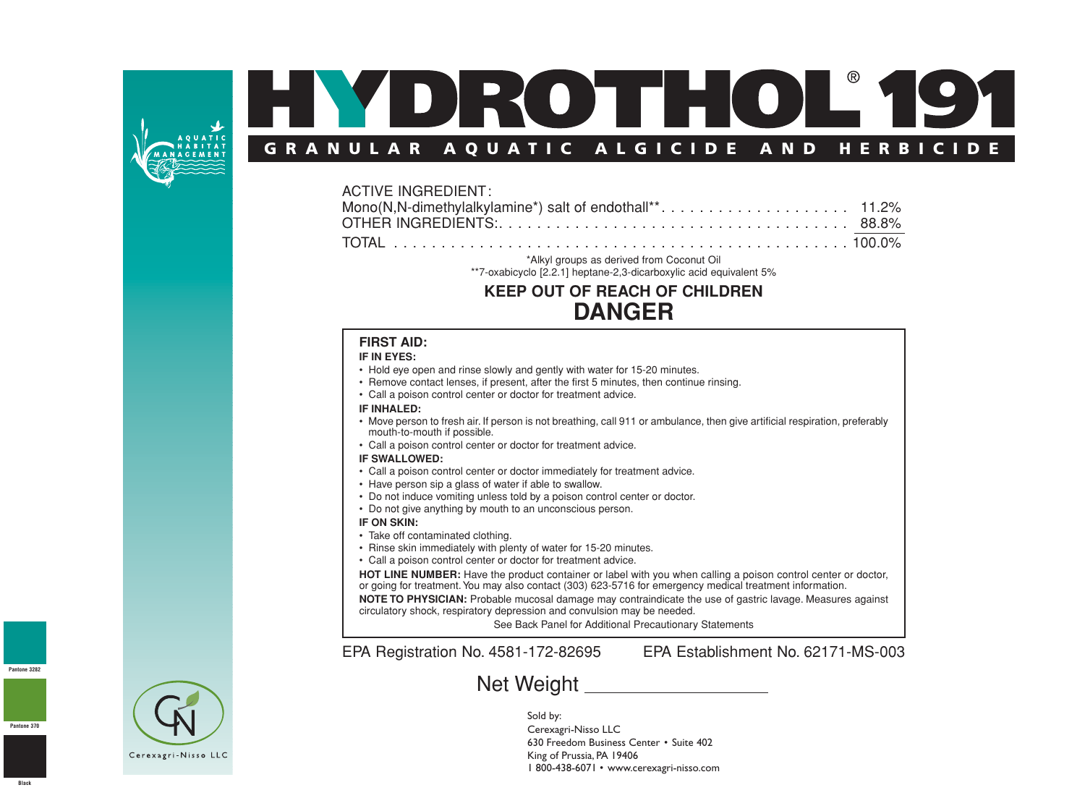

# DROTHOL® **GRANULAR AQUATIC ALGICIDE AND HERBICIDE**

## ACTIVE INGREDIENT: Mono(N,N-dimethylalkylamine\*) salt of endothall\*\*. . . . . . . . . . . . . . . . . . . . 11.2% OTHER INGREDIENTS:. . . . . . . . . . . . . . . . . . . . . . . . . . . . . . . . . . . . . 88.8% TOTAL . . . . . . . . . . . . . . . . . . . . . . . . . . . . . . . . . . . . . . . . . . . . . . . . 100.0%

\*Alkyl groups as derived from Coconut Oil

\*\*7-oxabicyclo [2.2.1] heptane-2,3-dicarboxylic acid equivalent 5%

# **KEEP OUT OF REACH OF CHILDREN DANGER**

#### **FIRST AID:**

#### **IF IN EYES:**

- Hold eye open and rinse slowly and gently with water for 15-20 minutes.
- Remove contact lenses, if present, after the first 5 minutes, then continue rinsing.
- Call a poison control center or doctor for treatment advice.

#### **IF INHALED:**

- Move person to fresh air. If person is not breathing, call 911 or ambulance, then give artificial respiration, preferably mouth-to-mouth if possible.
- Call a poison control center or doctor for treatment advice.

#### **IF SWALLOWED:**

- Call a poison control center or doctor immediately for treatment advice.
- Have person sip a glass of water if able to swallow.
- Do not induce vomiting unless told by a poison control center or doctor.
- Do not give anything by mouth to an unconscious person.

#### **IF ON SKIN:**

- Take off contaminated clothing.
- Rinse skin immediately with plenty of water for 15-20 minutes.
- Call a poison control center or doctor for treatment advice.

**HOT LINE NUMBER:** Have the product container or label with you when calling a poison control center or doctor, or going for treatment.You may also contact (303) 623-5716 for emergency medical treatment information. **NOTE TO PHYSICIAN:** Probable mucosal damage may contraindicate the use of gastric lavage. Measures against

circulatory shock, respiratory depression and convulsion may be needed.

See Back Panel for Additional Precautionary Statements

EPA Registration No. 4581-172-82695 EPA Establishment No. 62171-MS-003

# Net Weight \_\_\_\_\_\_\_\_\_\_\_\_\_\_\_\_

Sold by: Cerexagri-Nisso LLC 630 Freedom Business Center • Suite 402 King of Prussia, PA 19406 1 800-438-6071 • www.cerexagri-nisso.com